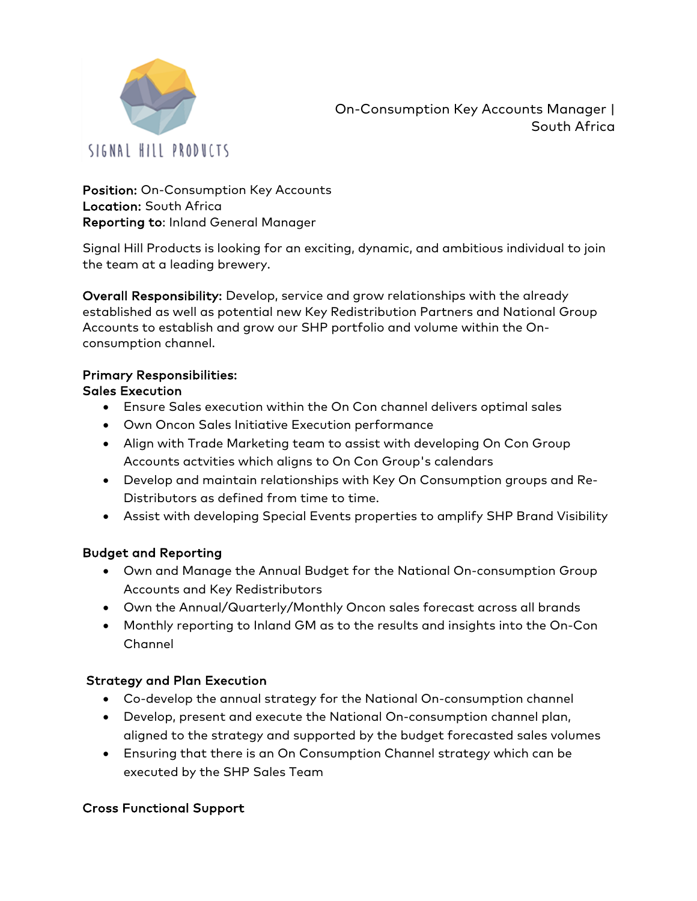

On-Consumption Key Accounts Manager | South Africa

Position: On-Consumption Key Accounts Location: South Africa Reporting to: Inland General Manager

Signal Hill Products is looking for an exciting, dynamic, and ambitious individual to join the team at a leading brewery.

Overall Responsibility: Develop, service and grow relationships with the already established as well as potential new Key Redistribution Partners and National Group Accounts to establish and grow our SHP portfolio and volume within the Onconsumption channel.

## Primary Responsibilities:

## Sales Execution

- Ensure Sales execution within the On Con channel delivers optimal sales
- Own Oncon Sales Initiative Execution performance
- Align with Trade Marketing team to assist with developing On Con Group Accounts actvities which aligns to On Con Group's calendars
- Develop and maintain relationships with Key On Consumption groups and Re-Distributors as defined from time to time.
- Assist with developing Special Events properties to amplify SHP Brand Visibility

#### Budget and Reporting

- Own and Manage the Annual Budget for the National On-consumption Group Accounts and Key Redistributors
- Own the Annual/Quarterly/Monthly Oncon sales forecast across all brands
- Monthly reporting to Inland GM as to the results and insights into the On-Con Channel

#### Strategy and Plan Execution

- Co-develop the annual strategy for the National On-consumption channel
- Develop, present and execute the National On-consumption channel plan, aligned to the strategy and supported by the budget forecasted sales volumes
- Ensuring that there is an On Consumption Channel strategy which can be executed by the SHP Sales Team

#### Cross Functional Support